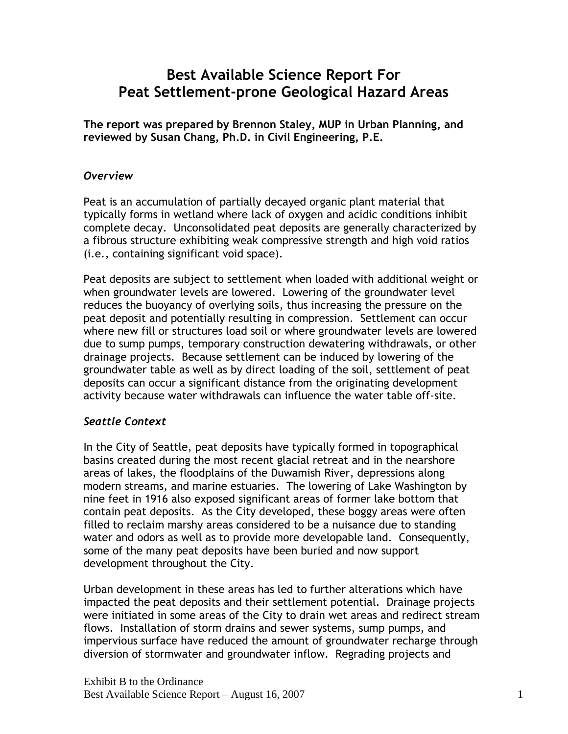# **Best Available Science Report For Peat Settlement-prone Geological Hazard Areas**

**The report was prepared by Brennon Staley, MUP in Urban Planning, and reviewed by Susan Chang, Ph.D. in Civil Engineering, P.E.**

#### *Overview*

Peat is an accumulation of partially decayed organic plant material that typically forms in wetland where lack of oxygen and acidic conditions inhibit complete decay. Unconsolidated peat deposits are generally characterized by a fibrous structure exhibiting weak compressive strength and high void ratios (i.e., containing significant void space).

Peat deposits are subject to settlement when loaded with additional weight or when groundwater levels are lowered. Lowering of the groundwater level reduces the buoyancy of overlying soils, thus increasing the pressure on the peat deposit and potentially resulting in compression. Settlement can occur where new fill or structures load soil or where groundwater levels are lowered due to sump pumps, temporary construction dewatering withdrawals, or other drainage projects. Because settlement can be induced by lowering of the groundwater table as well as by direct loading of the soil, settlement of peat deposits can occur a significant distance from the originating development activity because water withdrawals can influence the water table off-site.

# *Seattle Context*

In the City of Seattle, peat deposits have typically formed in topographical basins created during the most recent glacial retreat and in the nearshore areas of lakes, the floodplains of the Duwamish River, depressions along modern streams, and marine estuaries. The lowering of Lake Washington by nine feet in 1916 also exposed significant areas of former lake bottom that contain peat deposits. As the City developed, these boggy areas were often filled to reclaim marshy areas considered to be a nuisance due to standing water and odors as well as to provide more developable land. Consequently, some of the many peat deposits have been buried and now support development throughout the City.

Urban development in these areas has led to further alterations which have impacted the peat deposits and their settlement potential. Drainage projects were initiated in some areas of the City to drain wet areas and redirect stream flows. Installation of storm drains and sewer systems, sump pumps, and impervious surface have reduced the amount of groundwater recharge through diversion of stormwater and groundwater inflow. Regrading projects and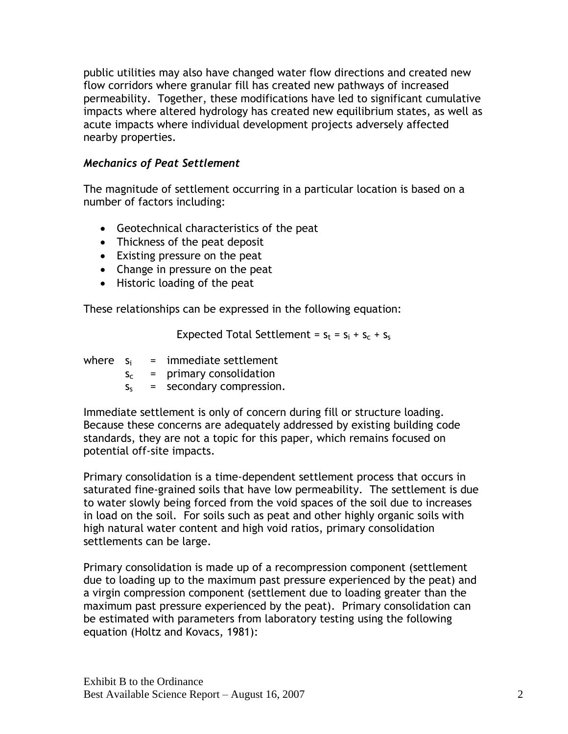public utilities may also have changed water flow directions and created new flow corridors where granular fill has created new pathways of increased permeability. Together, these modifications have led to significant cumulative impacts where altered hydrology has created new equilibrium states, as well as acute impacts where individual development projects adversely affected nearby properties.

# *Mechanics of Peat Settlement*

The magnitude of settlement occurring in a particular location is based on a number of factors including:

- Geotechnical characteristics of the peat
- Thickness of the peat deposit
- Existing pressure on the peat
- Change in pressure on the peat
- Historic loading of the peat

These relationships can be expressed in the following equation:

Expected Total Settlement =  $s_t = s_i + s_c + s_s$ 

where  $s_i$  = immediate settlement

- $s_c$  = primary consolidation
- $s_s$  = secondary compression.

Immediate settlement is only of concern during fill or structure loading. Because these concerns are adequately addressed by existing building code standards, they are not a topic for this paper, which remains focused on potential off-site impacts.

Primary consolidation is a time-dependent settlement process that occurs in saturated fine-grained soils that have low permeability. The settlement is due to water slowly being forced from the void spaces of the soil due to increases in load on the soil. For soils such as peat and other highly organic soils with high natural water content and high void ratios, primary consolidation settlements can be large.

Primary consolidation is made up of a recompression component (settlement due to loading up to the maximum past pressure experienced by the peat) and a virgin compression component (settlement due to loading greater than the maximum past pressure experienced by the peat). Primary consolidation can be estimated with parameters from laboratory testing using the following equation (Holtz and Kovacs, 1981):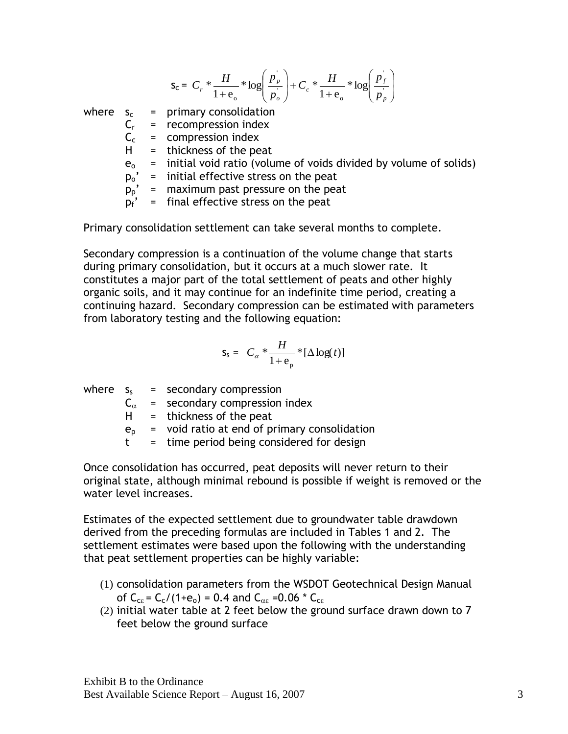$$
s_c = C_r * \frac{H}{1 + e_o} * \log\left(\frac{p_p}{p_o}\right) + C_c * \frac{H}{1 + e_o} * \log\left(\frac{p_f}{p_p}\right)
$$
  
where  $s_c$  = primary consolidation  
 $C_r$  = recompression index  
 $C_c$  = compression index  
 $H$  = thickness of the pet  
 $e_o$  = initial void ratio (volume of voids divided by volume of solids)  
 $p_o'$  = initial effective stress on the pet  
 $p_p'$  = maximum past pressure on the heat  
 $p_f'$  = final effective stress on the heat

Primary consolidation settlement can take several months to complete.

Secondary compression is a continuation of the volume change that starts during primary consolidation, but it occurs at a much slower rate. It constitutes a major part of the total settlement of peats and other highly organic soils, and it may continue for an indefinite time period, creating a continuing hazard. Secondary compression can be estimated with parameters from laboratory testing and the following equation:

$$
S_{S} = C_{\alpha} * \frac{H}{1 + e_{p}} * [\Delta \log(t)]
$$

|              | where $s_s$ = secondary compression          |
|--------------|----------------------------------------------|
|              | $C_{\alpha}$ = secondary compression index   |
| H.           | $=$ thickness of the peat                    |
| $e_{n}$      | = void ratio at end of primary consolidation |
| $^{\dagger}$ | = time period being considered for design    |

Once consolidation has occurred, peat deposits will never return to their original state, although minimal rebound is possible if weight is removed or the water level increases.

Estimates of the expected settlement due to groundwater table drawdown derived from the preceding formulas are included in Tables 1 and 2. The settlement estimates were based upon the following with the understanding that peat settlement properties can be highly variable:

- (1) consolidation parameters from the WSDOT Geotechnical Design Manual of  $C_{ce} = C_c/(1+e_0) = 0.4$  and  $C_{ae} = 0.06 * C_{ce}$
- (2) initial water table at 2 feet below the ground surface drawn down to 7 feet below the ground surface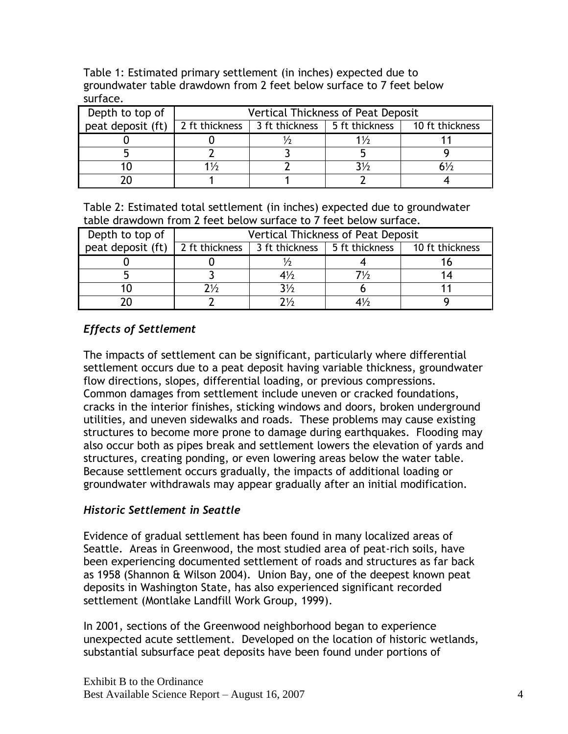| <b>JULIQUE.</b>                          |                                           |                                 |  |                 |  |  |
|------------------------------------------|-------------------------------------------|---------------------------------|--|-----------------|--|--|
| Depth to top of                          | <b>Vertical Thickness of Peat Deposit</b> |                                 |  |                 |  |  |
| peat deposit (ft) $\vert$ 2 ft thickness |                                           | 3 ft thickness   5 ft thickness |  | 10 ft thickness |  |  |
|                                          |                                           |                                 |  |                 |  |  |
|                                          |                                           |                                 |  |                 |  |  |
|                                          | 1/2                                       |                                 |  |                 |  |  |
|                                          |                                           |                                 |  |                 |  |  |

Table 1: Estimated primary settlement (in inches) expected due to groundwater table drawdown from 2 feet below surface to 7 feet below surface.

Table 2: Estimated total settlement (in inches) expected due to groundwater table drawdown from 2 feet below surface to 7 feet below surface.

| Depth to top of   | <b>Vertical Thickness of Peat Deposit</b> |                |                                 |                 |  |
|-------------------|-------------------------------------------|----------------|---------------------------------|-----------------|--|
| peat deposit (ft) | 2 ft thickness                            |                | 3 ft thickness   5 ft thickness | 10 ft thickness |  |
|                   |                                           |                |                                 |                 |  |
|                   |                                           | $4\frac{1}{2}$ |                                 |                 |  |
|                   | 71/2                                      | :1/            |                                 |                 |  |
|                   |                                           |                |                                 |                 |  |

# *Effects of Settlement*

The impacts of settlement can be significant, particularly where differential settlement occurs due to a peat deposit having variable thickness, groundwater flow directions, slopes, differential loading, or previous compressions. Common damages from settlement include uneven or cracked foundations, cracks in the interior finishes, sticking windows and doors, broken underground utilities, and uneven sidewalks and roads. These problems may cause existing structures to become more prone to damage during earthquakes. Flooding may also occur both as pipes break and settlement lowers the elevation of yards and structures, creating ponding, or even lowering areas below the water table. Because settlement occurs gradually, the impacts of additional loading or groundwater withdrawals may appear gradually after an initial modification.

# *Historic Settlement in Seattle*

Evidence of gradual settlement has been found in many localized areas of Seattle. Areas in Greenwood, the most studied area of peat-rich soils, have been experiencing documented settlement of roads and structures as far back as 1958 (Shannon & Wilson 2004). Union Bay, one of the deepest known peat deposits in Washington State, has also experienced significant recorded settlement (Montlake Landfill Work Group, 1999).

In 2001, sections of the Greenwood neighborhood began to experience unexpected acute settlement. Developed on the location of historic wetlands, substantial subsurface peat deposits have been found under portions of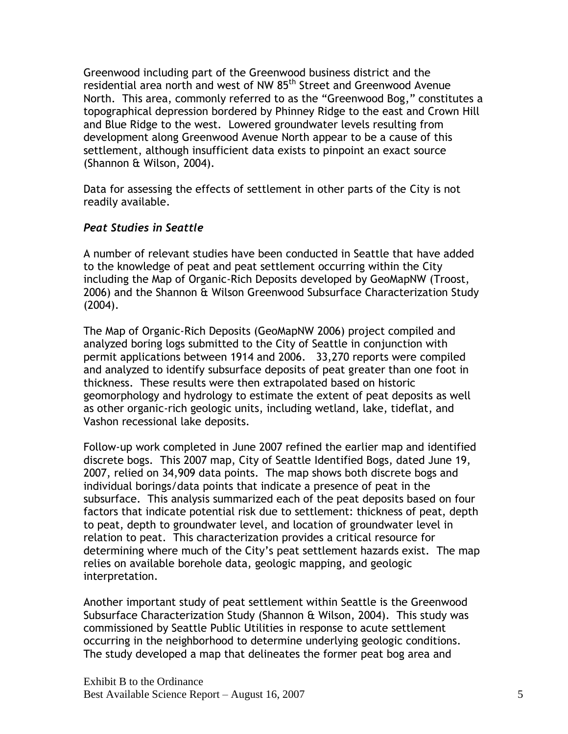Greenwood including part of the Greenwood business district and the residential area north and west of NW 85<sup>th</sup> Street and Greenwood Avenue North. This area, commonly referred to as the "Greenwood Bog," constitutes a topographical depression bordered by Phinney Ridge to the east and Crown Hill and Blue Ridge to the west. Lowered groundwater levels resulting from development along Greenwood Avenue North appear to be a cause of this settlement, although insufficient data exists to pinpoint an exact source (Shannon & Wilson, 2004).

Data for assessing the effects of settlement in other parts of the City is not readily available.

#### *Peat Studies in Seattle*

A number of relevant studies have been conducted in Seattle that have added to the knowledge of peat and peat settlement occurring within the City including the Map of Organic-Rich Deposits developed by GeoMapNW (Troost, 2006) and the Shannon & Wilson Greenwood Subsurface Characterization Study (2004).

The Map of Organic-Rich Deposits (GeoMapNW 2006) project compiled and analyzed boring logs submitted to the City of Seattle in conjunction with permit applications between 1914 and 2006. 33,270 reports were compiled and analyzed to identify subsurface deposits of peat greater than one foot in thickness. These results were then extrapolated based on historic geomorphology and hydrology to estimate the extent of peat deposits as well as other organic-rich geologic units, including wetland, lake, tideflat, and Vashon recessional lake deposits.

Follow-up work completed in June 2007 refined the earlier map and identified discrete bogs. This 2007 map, City of Seattle Identified Bogs, dated June 19, 2007, relied on 34,909 data points. The map shows both discrete bogs and individual borings/data points that indicate a presence of peat in the subsurface. This analysis summarized each of the peat deposits based on four factors that indicate potential risk due to settlement: thickness of peat, depth to peat, depth to groundwater level, and location of groundwater level in relation to peat. This characterization provides a critical resource for determining where much of the City's peat settlement hazards exist. The map relies on available borehole data, geologic mapping, and geologic interpretation.

Another important study of peat settlement within Seattle is the Greenwood Subsurface Characterization Study (Shannon & Wilson, 2004). This study was commissioned by Seattle Public Utilities in response to acute settlement occurring in the neighborhood to determine underlying geologic conditions. The study developed a map that delineates the former peat bog area and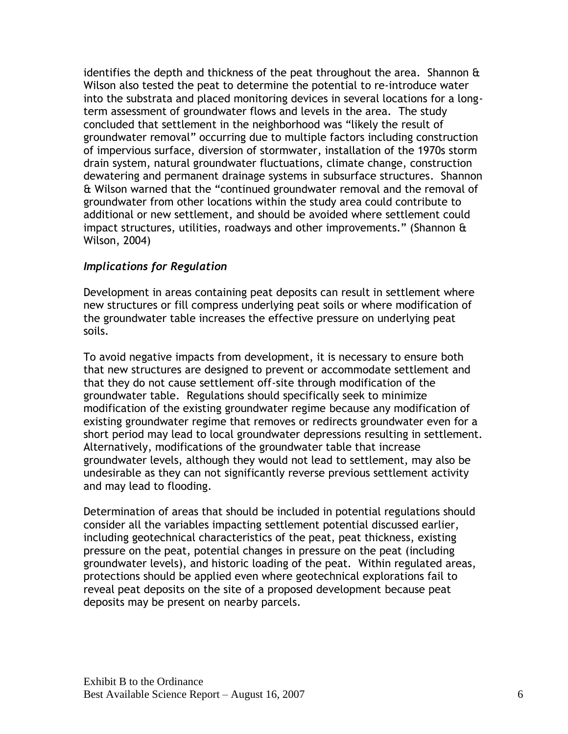identifies the depth and thickness of the peat throughout the area. Shannon & Wilson also tested the peat to determine the potential to re-introduce water into the substrata and placed monitoring devices in several locations for a longterm assessment of groundwater flows and levels in the area. The study concluded that settlement in the neighborhood was "likely the result of groundwater removal" occurring due to multiple factors including construction of impervious surface, diversion of stormwater, installation of the 1970s storm drain system, natural groundwater fluctuations, climate change, construction dewatering and permanent drainage systems in subsurface structures. Shannon & Wilson warned that the "continued groundwater removal and the removal of groundwater from other locations within the study area could contribute to additional or new settlement, and should be avoided where settlement could impact structures, utilities, roadways and other improvements." (Shannon & Wilson, 2004)

#### *Implications for Regulation*

Development in areas containing peat deposits can result in settlement where new structures or fill compress underlying peat soils or where modification of the groundwater table increases the effective pressure on underlying peat soils.

To avoid negative impacts from development, it is necessary to ensure both that new structures are designed to prevent or accommodate settlement and that they do not cause settlement off-site through modification of the groundwater table. Regulations should specifically seek to minimize modification of the existing groundwater regime because any modification of existing groundwater regime that removes or redirects groundwater even for a short period may lead to local groundwater depressions resulting in settlement. Alternatively, modifications of the groundwater table that increase groundwater levels, although they would not lead to settlement, may also be undesirable as they can not significantly reverse previous settlement activity and may lead to flooding.

Determination of areas that should be included in potential regulations should consider all the variables impacting settlement potential discussed earlier, including geotechnical characteristics of the peat, peat thickness, existing pressure on the peat, potential changes in pressure on the peat (including groundwater levels), and historic loading of the peat. Within regulated areas, protections should be applied even where geotechnical explorations fail to reveal peat deposits on the site of a proposed development because peat deposits may be present on nearby parcels.